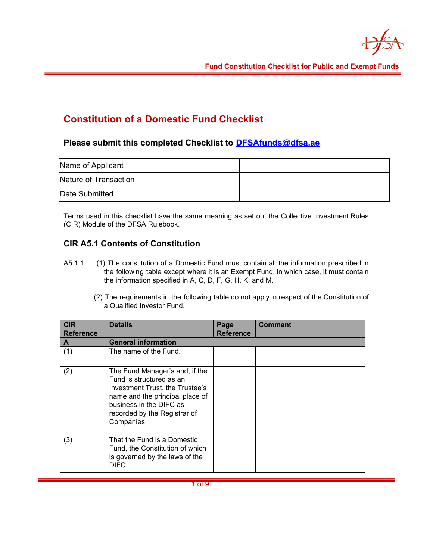

# **Constitution of a Domestic Fund Checklist**

## **Please submit this completed Checklist to [DFSAfunds@dfsa.ae](mailto:DFSAfunds@dfsa.ae)**

| Name of Applicant     |  |
|-----------------------|--|
| Nature of Transaction |  |
| Date Submitted        |  |

Terms used in this checklist have the same meaning as set out the Collective Investment Rules (CIR) Module of the DFSA Rulebook.

# **CIR A5.1 Contents of Constitution**

- A5.1.1 (1) The constitution of a Domestic Fund must contain all the information prescribed in the following table except where it is an Exempt Fund, in which case, it must contain the information specified in A, C, D, F, G, H, K, and M.
	- (2) The requirements in the following table do not apply in respect of the Constitution of a Qualified Investor Fund.

| <b>CIR</b><br><b>Reference</b> | <b>Details</b>                                                                                                                                                                                            | Page<br><b>Reference</b> | <b>Comment</b> |
|--------------------------------|-----------------------------------------------------------------------------------------------------------------------------------------------------------------------------------------------------------|--------------------------|----------------|
| A                              | <b>General information</b>                                                                                                                                                                                |                          |                |
| (1)                            | The name of the Fund.                                                                                                                                                                                     |                          |                |
| (2)                            | The Fund Manager's and, if the<br>Fund is structured as an<br>Investment Trust, the Trustee's<br>name and the principal place of<br>business in the DIFC as<br>recorded by the Registrar of<br>Companies. |                          |                |
| (3)                            | That the Fund is a Domestic<br>Fund, the Constitution of which<br>is governed by the laws of the<br>DIFC.                                                                                                 |                          |                |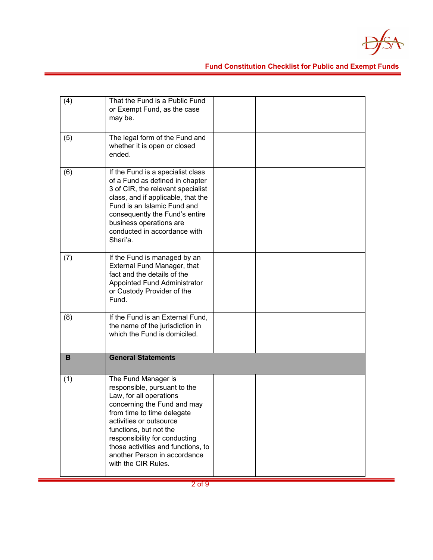

| (4) | That the Fund is a Public Fund<br>or Exempt Fund, as the case<br>may be.                                                                                                                                                                                                                                                       |  |
|-----|--------------------------------------------------------------------------------------------------------------------------------------------------------------------------------------------------------------------------------------------------------------------------------------------------------------------------------|--|
| (5) | The legal form of the Fund and<br>whether it is open or closed<br>ended.                                                                                                                                                                                                                                                       |  |
| (6) | If the Fund is a specialist class<br>of a Fund as defined in chapter<br>3 of CIR, the relevant specialist<br>class, and if applicable, that the<br>Fund is an Islamic Fund and<br>consequently the Fund's entire<br>business operations are<br>conducted in accordance with<br>Shari'a.                                        |  |
| (7) | If the Fund is managed by an<br>External Fund Manager, that<br>fact and the details of the<br>Appointed Fund Administrator<br>or Custody Provider of the<br>Fund.                                                                                                                                                              |  |
| (8) | If the Fund is an External Fund,<br>the name of the jurisdiction in<br>which the Fund is domiciled.                                                                                                                                                                                                                            |  |
| B   | <b>General Statements</b>                                                                                                                                                                                                                                                                                                      |  |
| (1) | The Fund Manager is<br>responsible, pursuant to the<br>Law, for all operations<br>concerning the Fund and may<br>from time to time delegate<br>activities or outsource<br>functions, but not the<br>responsibility for conducting<br>those activities and functions, to<br>another Person in accordance<br>with the CIR Rules. |  |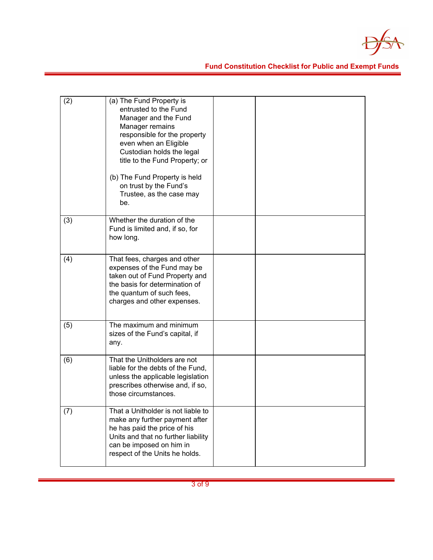

| (2) | (a) The Fund Property is<br>entrusted to the Fund<br>Manager and the Fund<br>Manager remains<br>responsible for the property<br>even when an Eligible<br>Custodian holds the legal<br>title to the Fund Property; or<br>(b) The Fund Property is held<br>on trust by the Fund's<br>Trustee, as the case may<br>be. |  |
|-----|--------------------------------------------------------------------------------------------------------------------------------------------------------------------------------------------------------------------------------------------------------------------------------------------------------------------|--|
| (3) | Whether the duration of the<br>Fund is limited and, if so, for<br>how long.                                                                                                                                                                                                                                        |  |
| (4) | That fees, charges and other<br>expenses of the Fund may be<br>taken out of Fund Property and<br>the basis for determination of<br>the quantum of such fees,<br>charges and other expenses.                                                                                                                        |  |
| (5) | The maximum and minimum<br>sizes of the Fund's capital, if<br>any.                                                                                                                                                                                                                                                 |  |
| (6) | That the Unitholders are not<br>liable for the debts of the Fund,<br>unless the applicable legislation<br>prescribes otherwise and, if so,<br>those circumstances.                                                                                                                                                 |  |
| (7) | That a Unitholder is not liable to<br>make any further payment after<br>he has paid the price of his<br>Units and that no further liability<br>can be imposed on him in<br>respect of the Units he holds.                                                                                                          |  |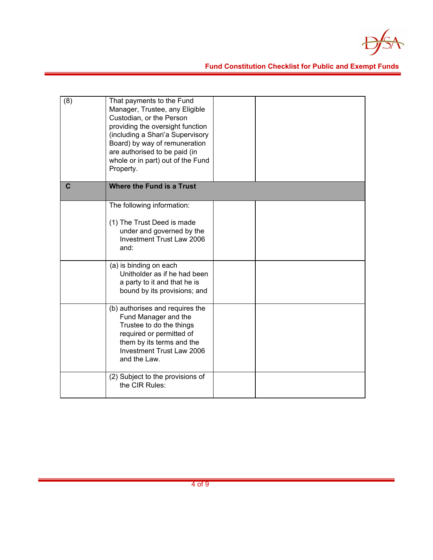

| (8)          | That payments to the Fund<br>Manager, Trustee, any Eligible<br>Custodian, or the Person<br>providing the oversight function<br>(including a Shari'a Supervisory<br>Board) by way of remuneration<br>are authorised to be paid (in<br>whole or in part) out of the Fund<br>Property. |  |
|--------------|-------------------------------------------------------------------------------------------------------------------------------------------------------------------------------------------------------------------------------------------------------------------------------------|--|
| $\mathbf{C}$ | Where the Fund is a Trust                                                                                                                                                                                                                                                           |  |
|              | The following information:<br>(1) The Trust Deed is made<br>under and governed by the<br><b>Investment Trust Law 2006</b><br>and:<br>(a) is binding on each<br>Unitholder as if he had been<br>a party to it and that he is                                                         |  |
|              | bound by its provisions; and                                                                                                                                                                                                                                                        |  |
|              | (b) authorises and requires the<br>Fund Manager and the<br>Trustee to do the things<br>required or permitted of<br>them by its terms and the<br>Investment Trust Law 2006<br>and the Law.                                                                                           |  |
|              | (2) Subject to the provisions of<br>the CIR Rules:                                                                                                                                                                                                                                  |  |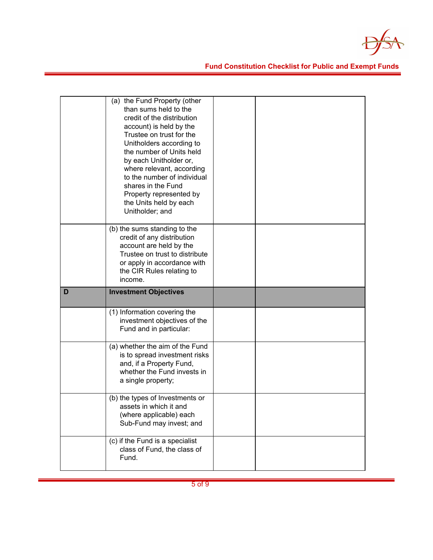

|   | (a) the Fund Property (other<br>than sums held to the<br>credit of the distribution<br>account) is held by the<br>Trustee on trust for the<br>Unitholders according to<br>the number of Units held<br>by each Unitholder or,<br>where relevant, according<br>to the number of individual<br>shares in the Fund<br>Property represented by<br>the Units held by each<br>Unitholder; and |  |
|---|----------------------------------------------------------------------------------------------------------------------------------------------------------------------------------------------------------------------------------------------------------------------------------------------------------------------------------------------------------------------------------------|--|
|   | (b) the sums standing to the<br>credit of any distribution<br>account are held by the<br>Trustee on trust to distribute<br>or apply in accordance with<br>the CIR Rules relating to<br>income.                                                                                                                                                                                         |  |
|   |                                                                                                                                                                                                                                                                                                                                                                                        |  |
| D | <b>Investment Objectives</b>                                                                                                                                                                                                                                                                                                                                                           |  |
|   | (1) Information covering the<br>investment objectives of the<br>Fund and in particular:                                                                                                                                                                                                                                                                                                |  |
|   | (a) whether the aim of the Fund<br>is to spread investment risks<br>and, if a Property Fund,<br>whether the Fund invests in<br>a single property;                                                                                                                                                                                                                                      |  |
|   | (b) the types of Investments or<br>assets in which it and<br>(where applicable) each<br>Sub-Fund may invest; and                                                                                                                                                                                                                                                                       |  |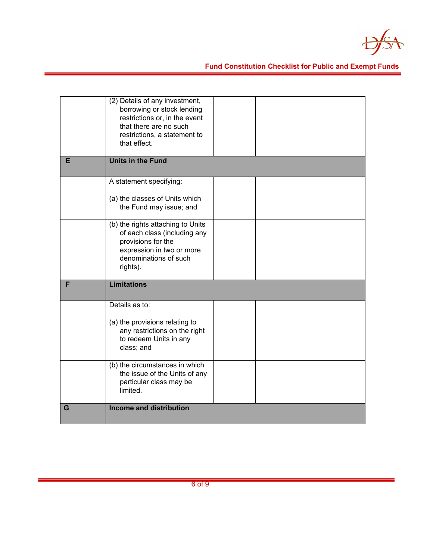

|   | (2) Details of any investment,<br>borrowing or stock lending<br>restrictions or, in the event<br>that there are no such<br>restrictions, a statement to<br>that effect.                                                                           |  |
|---|---------------------------------------------------------------------------------------------------------------------------------------------------------------------------------------------------------------------------------------------------|--|
| Е | <b>Units in the Fund</b>                                                                                                                                                                                                                          |  |
|   | A statement specifying:<br>(a) the classes of Units which<br>the Fund may issue; and<br>(b) the rights attaching to Units<br>of each class (including any<br>provisions for the<br>expression in two or more<br>denominations of such<br>rights). |  |
| F | <b>Limitations</b>                                                                                                                                                                                                                                |  |
|   | Details as to:<br>(a) the provisions relating to<br>any restrictions on the right<br>to redeem Units in any<br>class; and<br>(b) the circumstances in which<br>the issue of the Units of any<br>particular class may be<br>limited.               |  |
| G | <b>Income and distribution</b>                                                                                                                                                                                                                    |  |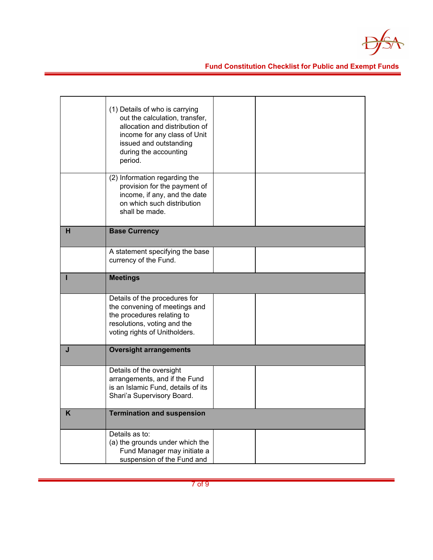

|   | (1) Details of who is carrying<br>out the calculation, transfer,<br>allocation and distribution of<br>income for any class of Unit<br>issued and outstanding<br>during the accounting<br>period. |  |
|---|--------------------------------------------------------------------------------------------------------------------------------------------------------------------------------------------------|--|
|   | (2) Information regarding the<br>provision for the payment of<br>income, if any, and the date<br>on which such distribution<br>shall be made.                                                    |  |
| н | <b>Base Currency</b>                                                                                                                                                                             |  |
|   | A statement specifying the base<br>currency of the Fund.                                                                                                                                         |  |
|   | <b>Meetings</b>                                                                                                                                                                                  |  |
|   | Details of the procedures for<br>the convening of meetings and<br>the procedures relating to<br>resolutions, voting and the<br>voting rights of Unitholders.                                     |  |
| J | <b>Oversight arrangements</b>                                                                                                                                                                    |  |
|   | Details of the oversight<br>arrangements, and if the Fund<br>is an Islamic Fund, details of its<br>Shari'a Supervisory Board.                                                                    |  |
| K | <b>Termination and suspension</b>                                                                                                                                                                |  |
|   | Details as to:<br>(a) the grounds under which the<br>Fund Manager may initiate a<br>suspension of the Fund and                                                                                   |  |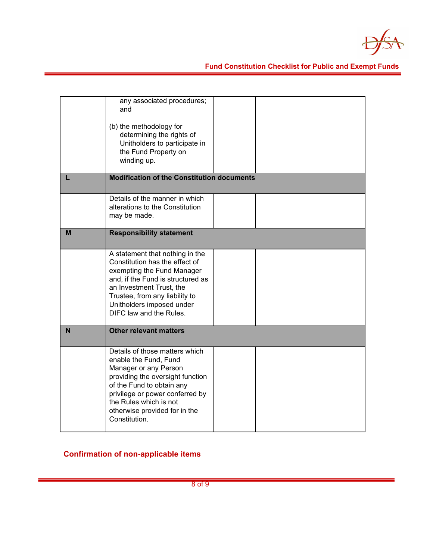

|   | any associated procedures;<br>and<br>(b) the methodology for<br>determining the rights of<br>Unitholders to participate in<br>the Fund Property on<br>winding up.                                                                                                |  |
|---|------------------------------------------------------------------------------------------------------------------------------------------------------------------------------------------------------------------------------------------------------------------|--|
|   | <b>Modification of the Constitution documents</b>                                                                                                                                                                                                                |  |
|   | Details of the manner in which<br>alterations to the Constitution<br>may be made.                                                                                                                                                                                |  |
| M | <b>Responsibility statement</b>                                                                                                                                                                                                                                  |  |
|   | A statement that nothing in the<br>Constitution has the effect of<br>exempting the Fund Manager<br>and, if the Fund is structured as<br>an Investment Trust, the<br>Trustee, from any liability to<br>Unitholders imposed under<br>DIFC law and the Rules.       |  |
| N | <b>Other relevant matters</b>                                                                                                                                                                                                                                    |  |
|   | Details of those matters which<br>enable the Fund, Fund<br>Manager or any Person<br>providing the oversight function<br>of the Fund to obtain any<br>privilege or power conferred by<br>the Rules which is not<br>otherwise provided for in the<br>Constitution. |  |

**Confirmation of non-applicable items**